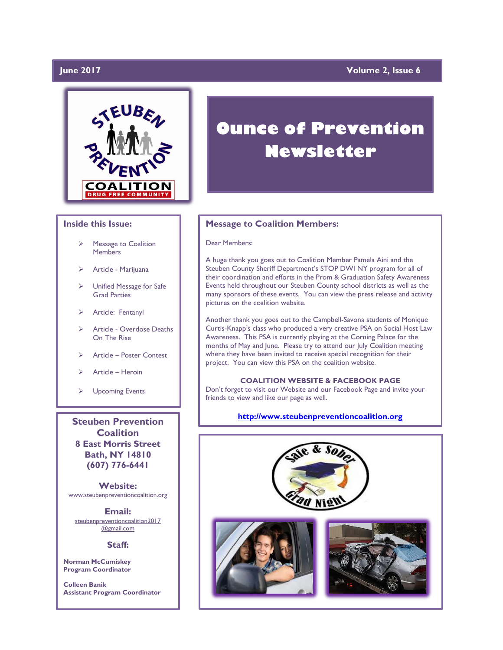# **June 2017**

# **Volume 2, Issue 6**



## **Inside this Issue:**

- Message to Coalition **Members**
- Article Marijuana
- > Unified Message for Safe Grad Parties
- > Article: Fentanyl
- > Article Overdose Deaths On The Rise
- Article Poster Contest
- Article Heroin
- **►** Upcoming Events

**Coalition 8 East Morris Street Bath, NY 14810 (607) 776-6441**

**Website:**  www.steubenpreventioncoalition.org

**Email:**  steubenpreventioncoalition2017 @gmail.com

### **Staff:**

**Norman McCumiskey Program Coordinator**

**Colleen Banik Assistant Program Coordinator**

# **Ounce of Prevention Newsletter**

### **Message to Coalition Members:**

### Dear Members:

A huge thank you goes out to Coalition Member Pamela Aini and the Steuben County Sheriff Department's STOP DWI NY program for all of their coordination and efforts in the Prom & Graduation Safety Awareness Events held throughout our Steuben County school districts as well as the many sponsors of these events. You can view the press release and activity pictures on the coalition website.

Another thank you goes out to the Campbell-Savona students of Monique Curtis-Knapp's class who produced a very creative PSA on Social Host Law Awareness. This PSA is currently playing at the Corning Palace for the months of May and June. Please try to attend our July Coalition meeting where they have been invited to receive special recognition for their project. You can view this PSA on the coalition website.

### **COALITION WEBSITE & FACEBOOK PAGE**

Don't forget to visit our Website and our Facebook Page and invite your friends to view and like our page as well.

# **[http://www.steubenpreventioncoalition.org](http://www.steubenpreventioncoalition.org/)**<br>Steuben Prevention

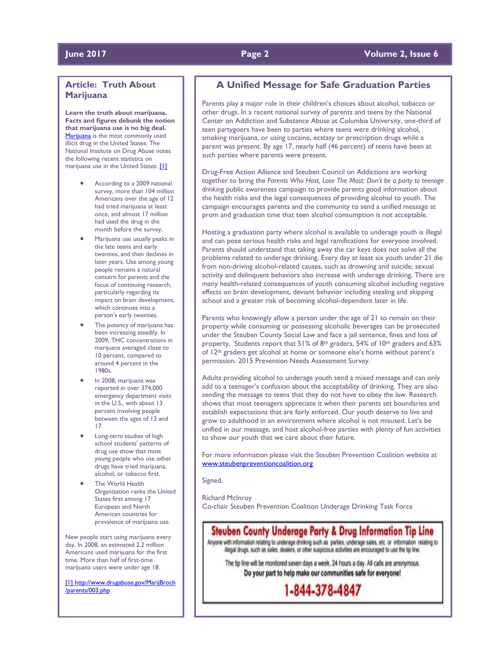# **Article: Truth About Marijuana**

**Learn the truth about marijuana. Facts and figures debunk the notion that marijuana use is no big deal.** [Marijuana](https://www.caron.org/understanding-addiction/drug-addiction/marijuana) is the most commonly used illicit drug in the United States. The National Institute on Drug Abuse notes the following recent statistics on marijuana use in the United States: [\[1\]](https://www.caron.org/understanding-addiction/addiction-stats/marijuana-facts?gclid=CMufwZuDytQCFZuCswodV7wLeg&gclid=CMufwZuDytQCFZuCswodV7wLeg#_ftn1)

- According to a 2009 national survey, more than 104 million Americans over the age of 12 had tried marijuana at least once, and almost 17 million had used the drug in the month before the survey.
- Marijuana use usually peaks in the late teens and early twenties, and then declines in later years. Use among young people remains a natural concern for parents and the focus of continuing research, particularly regarding its impact on brain development, which continues into a person's early twenties.
- The potency of marijuana has been increasing steadily. In 2009, THC concentrations in marijuana averaged close to 10 percent, compared to around 4 percent in the 1980s.
- In 2008, marijuana was reported in over 374,000 emergency department visits in the U.S., with about 13 percent involving people between the ages of 12 and 17.
- Long-term studies of high school students' patterns of drug use show that most young people who use other drugs have tried marijuana, alcohol, or tobacco first.
- The World Health Organization ranks the United States first among 17 European and North American countries for prevalence of marijuana use.

New people start using marijuana every day. In 2008, an estimated 2.2 million Americans used marijuana for the first time. More than half of first-time marijuana users were under age 18.

[\[1\]](https://www.caron.org/understanding-addiction/addiction-stats/marijuana-facts?gclid=CMufwZuDytQCFZuCswodV7wLeg&gclid=CMufwZuDytQCFZuCswodV7wLeg#_ftnref1) [http://www.drugabuse.gov/MarijBroch](https://www.caron.org/understanding-addiction/addiction-stats/marijuana-facts?gclid=CMufwZuDytQCFZuCswodV7wLeg&gclid=CMufwZuDytQCFZuCswodV7wLeg#_ftnref1) [/parents/003.php](http://www.drugabuse.gov/MarijBroch/parents/003.php)

# **A Unified Message for Safe Graduation Parties**

Parents play a major role in their children's choices about alcohol, tobacco or other drugs. In a recent national survey of parents and teens by the National Center on Addiction and Substance Abuse at Columbia University, one-third of teen partygoers have been to parties where teens were drinking alcohol, smoking marijuana, or using cocaine, ecstasy or prescription drugs while a parent was present. By age 17, nearly half (46 percent) of teens have been at such parties where parents were present.

Drug-Free Action Alliance and Steuben Council on Addictions are working together to bring the *Parents Who Host, Lose The Most: Don't be a party to teenage drinkin*g public awareness campaign to provide parents good information about the health risks and the legal consequences of providing alcohol to youth. The campaign encourages parents and the community to send a unified message at prom and graduation time that teen alcohol consumption is not acceptable.

Hosting a graduation party where alcohol is available to underage youth is illegal and can pose serious health risks and legal ramifications for everyone involved. Parents should understand that taking away the car keys does not solve all the problems related to underage drinking. Every day at least six youth under 21 die from non-driving alcohol-related causes, such as drowning and suicide; sexual activity and delinquent behaviors also increase with underage drinking. There are many health-related consequences of youth consuming alcohol including negative effects on brain development, deviant behavior including stealing and skipping school and a greater risk of becoming alcohol-dependent later in life.

Parents who knowingly allow a person under the age of 21 to remain on their property while consuming or possessing alcoholic beverages can be prosecuted under the Steuben County Social Law and face a jail sentence, fines and loss of property. Students report that 51% of 8<sup>th</sup> graders, 54% of 10<sup>th</sup> graders and 63% of 12th graders get alcohol at home or someone else's home without parent's permission. 2015 Prevention Needs Assessment Survey.

Adults providing alcohol to underage youth send a mixed message and can only add to a teenager's confusion about the acceptability of drinking. They are also sending the message to teens that they do not have to obey the law. Research shows that most teenagers appreciate it when their parents set boundaries and establish expectations that are fairly enforced. Our youth deserve to live and grow to adulthood in an environment where alcohol is not misused. Let's be unified in our message, and host alcohol-free parties with plenty of fun activities to show our youth that we care about their future.

For more information please visit the Steuben Prevention Coalition website at [www.steubenpreventioncoalition.org](http://www.steubenpreventioncoalition.org/)

#### Signed,

Richard McInroy

Co-chair Steuben Prevention Coalition Underage Drinking Task Force

# Steuben County Underage Party & Drug Information Tip Line Anyone with information relating to underage drinking such as parties, underage sales, etc. or information relating to

illegal drugs, such as sales, dealers, or other suspicious activities are encouraged to use the tip line.

The tip line will be monitored seven days a week, 24 hours a day. All calls are anonymous. Do your part to help make our communities safe for everyone!

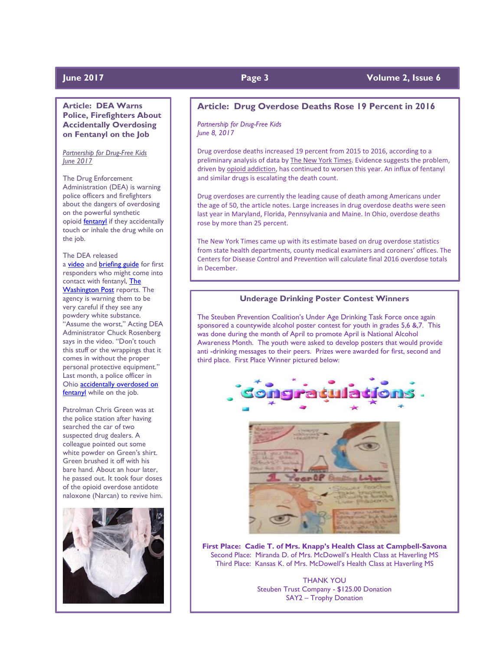# **For Page 3 Page 3 Page 2017 Page 2017 Page 2 Volume 2, Issue 6**

**Article: DEA Warns Police, Firefighters About Accidentally Overdosing on Fentanyl on the Job**

*Partnership for Drug-Free Kids June 2017*

The Drug Enforcement Administration (DEA) is warning police officers and firefighters about the dangers of overdosing on the powerful synthetic opioid **fentany** if they accidentally touch or inhale the drug while on the job.

### The DEA released

a [video](https://www.dea.gov/druginfo/fentanyl.shtml) and [briefing guide](https://www.dea.gov/druginfo/Fentanyl_BriefingGuideforFirstResponders_June2017.pdf) for first responders who might come into contact with fentanyl, [The](https://www.washingtonpost.com/world/national-security/dont-touch-this-stuff-dea-warns-officers-that-coming-into-contact-with-fentanyl-could-be-deadly/2017/06/06/9ace6042-4ade-11e7-a186-60c031eab644_story.html)  [Washington Post](https://www.washingtonpost.com/world/national-security/dont-touch-this-stuff-dea-warns-officers-that-coming-into-contact-with-fentanyl-could-be-deadly/2017/06/06/9ace6042-4ade-11e7-a186-60c031eab644_story.html) reports. The agency is warning them to be very careful if they see any powdery white substance. "Assume the worst," Acting DEA Administrator Chuck Rosenberg says in the video. "Don't touch this stuff or the wrappings that it comes in without the proper personal protective equipment." Last month, a police officer in Ohio [accidentally overdosed on](https://drugfree.org/learn/drug-and-alcohol-news/ohio-police-officer-accidentally-overdoses-on-fentanyl-while-on-the-job/)  [fentanyl](https://drugfree.org/learn/drug-and-alcohol-news/ohio-police-officer-accidentally-overdoses-on-fentanyl-while-on-the-job/) while on the job.

Patrolman Chris Green was at the police station after having searched the car of two suspected drug dealers. A colleague pointed out some white powder on Green's shirt. Green brushed it off with his bare hand. About an hour later, he passed out. It took four doses of the opioid overdose antidote naloxone (Narcan) to revive him.



# **Article: Drug Overdose Deaths Rose 19 Percent in 2016**

*Partnership for Drug-Free Kids June 8, 2017*

Drug overdose deaths increased 19 percent from 2015 to 2016, according to a preliminary analysis of data by [The New York Times.](https://www.nytimes.com/interactive/2017/06/05/upshot/opioid-epidemic-drug-overdose-deaths-are-rising-faster-than-ever.html) Evidence suggests the problem, driven by [opioid addiction,](https://drugfree.org/article/heroin-other-opioids-from-understanding-to-action/) has continued to worsen this year. An influx of fentanyl and similar drugs is escalating the death count.

Drug overdoses are currently the leading cause of death among Americans under the age of 50, the article notes. Large increases in drug overdose deaths were seen last year in Maryland, Florida, Pennsylvania and Maine. In Ohio, overdose deaths rose by more than 25 percent.

The New York Times came up with its estimate based on drug overdose statistics from state health departments, county medical examiners and coroners' offices. The Centers for Disease Control and Prevention will calculate final 2016 overdose totals in December.

# **Underage Drinking Poster Contest Winners**

The Steuben Prevention Coalition's Under Age Drinking Task Force once again sponsored a countywide alcohol poster contest for youth in grades 5,6 &,7. This was done during the month of April to promote April is National Alcohol Awareness Month. The youth were asked to develop posters that would provide anti -drinking messages to their peers. Prizes were awarded for first, second and third place. First Place Winner pictured below:





**First Place: Cadie T. of Mrs. Knapp's Health Class at Campbell-Savona** Second Place: Miranda D. of Mrs. McDowell's Health Class at Haverling MS Third Place: Kansas K. of Mrs. McDowell's Health Class at Haverling MS

> THANK YOU Steuben Trust Company - \$125.00 Donation SAY2 – Trophy Donation